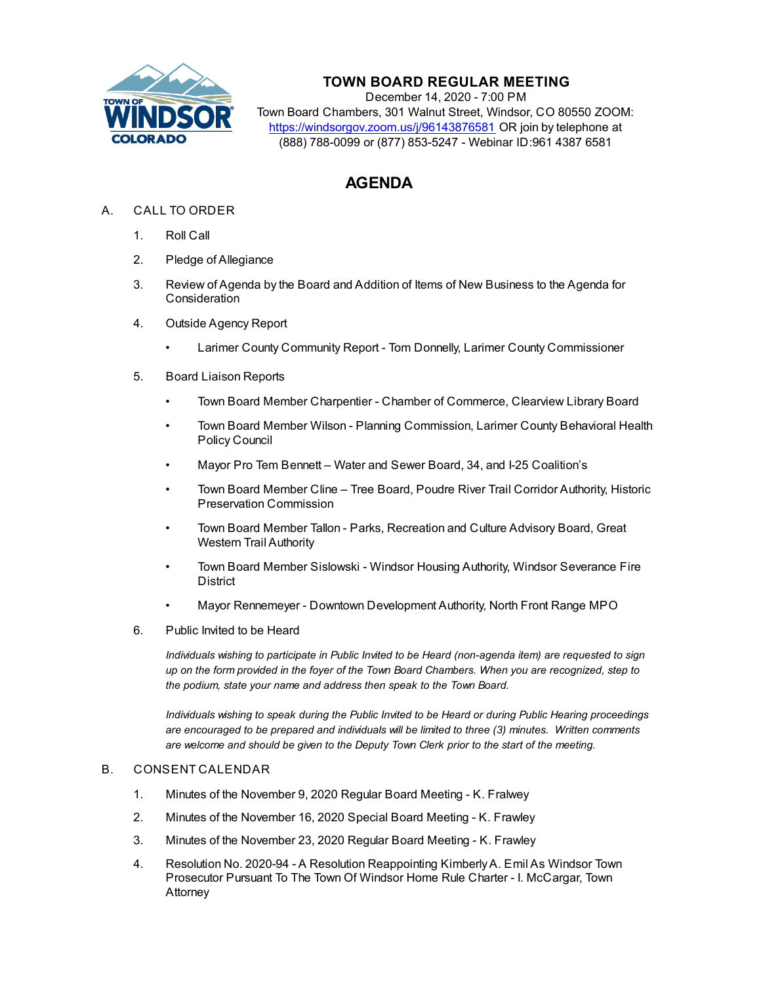

## **TOWN BOARD REGULAR MEETING**

December 14, 2020 - 7:00 PM Town Board Chambers, 301 Walnut Street, Windsor, CO 80550 ZOOM: https://windsorgov.zoom.us/j/96143876581 OR join by telephone at (888) 788-0099 or (877) 853-5247 - Webinar ID:961 4387 6581

## **AGENDA**

- A. CALL TO ORDER
	- 1. Roll Call
	- 2. Pledge of Allegiance
	- 3. Review of Agenda by the Board and Addition of Items of New Business to the Agenda for **Consideration**
	- 4. Outside Agency Report
		- [Larimer County Community Report Tom Donnelly, Larimer County Commissioner](file:///C:/Windows/TEMP/CoverSheet.aspx?ItemID=1177&MeetingID=131)
	- 5. Board Liaison Reports
		- Town Board Member Charpentier Chamber of Commerce, Clearview Library Board
		- Town Board Member Wilson Planning Commission, Larimer County Behavioral Health Policy Council
		- Mayor Pro Tem Bennett Water and Sewer Board, 34, and I-25 Coalition's
		- Town Board Member Cline Tree Board, Poudre River Trail Corridor Authority, Historic Preservation Commission
		- Town Board Member Tallon Parks, Recreation and Culture Advisory Board, Great Western Trail Authority
		- Town Board Member Sislowski Windsor Housing Authority, Windsor Severance Fire **District**
		- Mayor Rennemeyer Downtown Development Authority, North Front Range MPO
	- 6. Public Invited to be Heard

*Individuals wishing to participate in Public Invited to be Heard (non-agenda item) are requested to sign up on the form provided in the foyer of the Town Board Chambers. When you are recognized, step to the podium, state your name and address then speak to the Town Board.*

*Individuals wishing to speak during the Public Invited to be Heard or during Public Hearing proceedings are encouraged to be prepared and individuals will be limited to three (3) minutes. Written comments are welcome and should be given to the Deputy Town Clerk prior to the start of the meeting.*

## B. CONSENT CALENDAR

- 1. [Minutes of the November 9, 2020 Regular Board Meeting K. Fralwey](file:///C:/Windows/TEMP/CoverSheet.aspx?ItemID=1159&MeetingID=131)
- 2. [Minutes of the November 16, 2020 Special Board Meeting K. Frawley](file:///C:/Windows/TEMP/CoverSheet.aspx?ItemID=1162&MeetingID=131)
- 3. [Minutes of the November 23, 2020 Regular Board Meeting K. Frawley](file:///C:/Windows/TEMP/CoverSheet.aspx?ItemID=1163&MeetingID=131)
- 4. [Resolution No. 2020-94 A Resolution Reappointing Kimberly A. Emil As Windsor Town](file:///C:/Windows/TEMP/CoverSheet.aspx?ItemID=1115&MeetingID=131) Prosecutor Pursuant To The Town Of Windsor Home Rule Charter - I. McCargar, Town Attorney